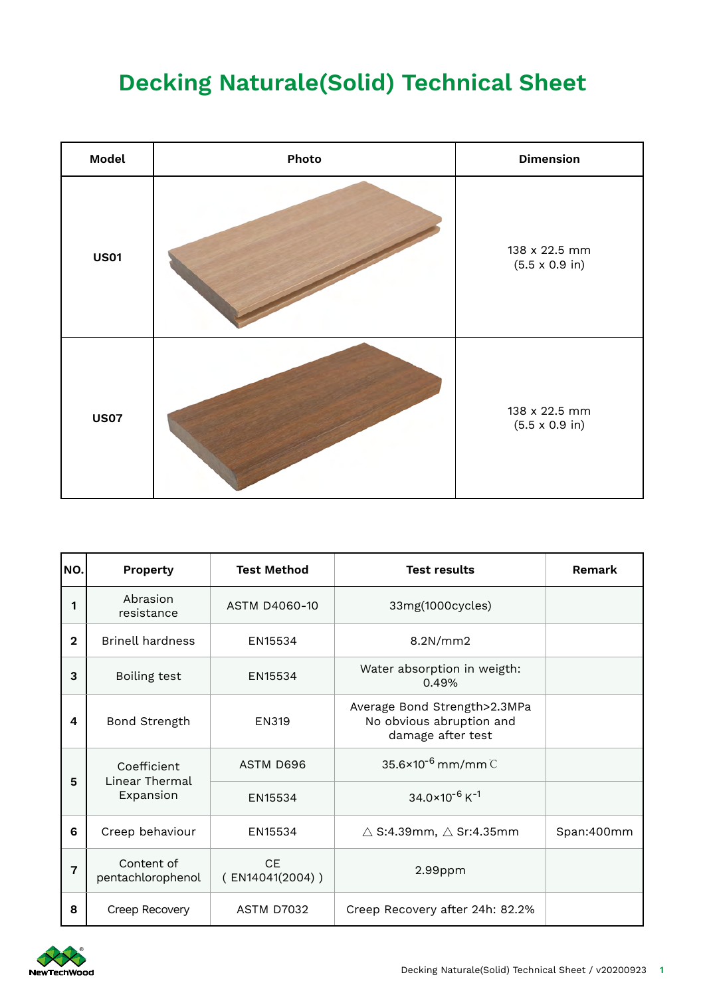## **Decking Naturale(Solid) Technical Sheet**

| Model       | Photo | <b>Dimension</b>                               |
|-------------|-------|------------------------------------------------|
| <b>US01</b> |       | 138 x 22.5 mm<br>$(5.5 \times 0.9 \text{ in})$ |
| <b>US07</b> |       | 138 x 22.5 mm<br>$(5.5 \times 0.9 \text{ in})$ |

| NO.            | <b>Property</b>                            | <b>Test Method</b>              | <b>Test results</b>                                                           | Remark     |
|----------------|--------------------------------------------|---------------------------------|-------------------------------------------------------------------------------|------------|
| 1              | Abrasion<br>resistance                     | ASTM D4060-10                   | 33mg(1000cycles)                                                              |            |
| $\overline{2}$ | <b>Brinell hardness</b>                    | EN15534                         | 8.2N/mm2                                                                      |            |
| 3              | Boiling test                               | EN15534                         | Water absorption in weigth:<br>0.49%                                          |            |
| 4              | Bond Strength                              | <b>EN319</b>                    | Average Bond Strength>2.3MPa<br>No obvious abruption and<br>damage after test |            |
| 5              | Coefficient<br>Linear Thermal<br>Expansion | ASTM D696                       | $35.6 \times 10^{-6}$ mm/mm $\degree$                                         |            |
|                |                                            | EN15534                         | $34.0\times10^{-6}$ K <sup>-1</sup>                                           |            |
| 6              | Creep behaviour                            | EN15534                         | $\triangle$ S:4.39mm, $\triangle$ Sr:4.35mm                                   | Span:400mm |
| 7              | Content of<br>pentachlorophenol            | <b>CE</b><br>$($ EN14041(2004)) | 2.99ppm                                                                       |            |
| 8              | Creep Recovery                             | <b>ASTM D7032</b>               | Creep Recovery after 24h: 82.2%                                               |            |

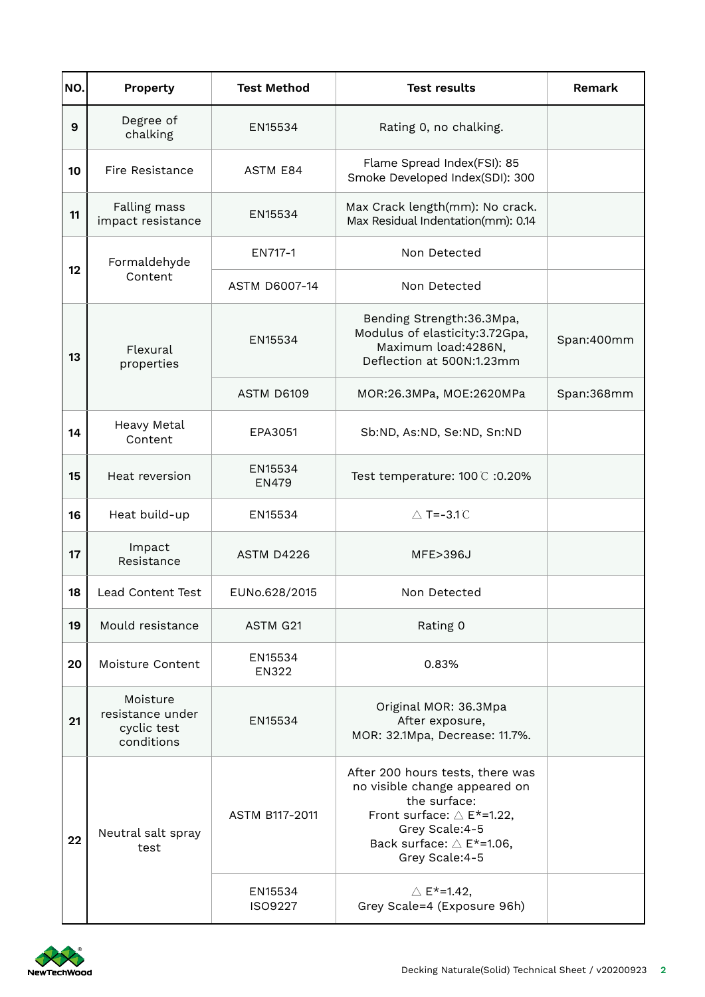| NO. | Property                                                  | <b>Test Method</b>      | <b>Test results</b>                                                                                                                                                                                | Remark     |
|-----|-----------------------------------------------------------|-------------------------|----------------------------------------------------------------------------------------------------------------------------------------------------------------------------------------------------|------------|
| 9   | Degree of<br>chalking                                     | EN15534                 | Rating 0, no chalking.                                                                                                                                                                             |            |
| 10  | Fire Resistance                                           | <b>ASTM E84</b>         | Flame Spread Index(FSI): 85<br>Smoke Developed Index(SDI): 300                                                                                                                                     |            |
| 11  | Falling mass<br>impact resistance                         | EN15534                 | Max Crack length(mm): No crack.<br>Max Residual Indentation(mm): 0.14                                                                                                                              |            |
| 12  | Formaldehyde<br>Content                                   | EN717-1                 | Non Detected                                                                                                                                                                                       |            |
|     |                                                           | <b>ASTM D6007-14</b>    | Non Detected                                                                                                                                                                                       |            |
| 13  | Flexural<br>properties                                    | EN15534                 | Bending Strength: 36.3Mpa,<br>Modulus of elasticity:3.72Gpa,<br>Maximum load:4286N,<br>Deflection at 500N:1.23mm                                                                                   | Span:400mm |
|     |                                                           | ASTM D6109              | MOR:26.3MPa, MOE:2620MPa                                                                                                                                                                           | Span:368mm |
| 14  | Heavy Metal<br>Content                                    | EPA3051                 | Sb:ND, As:ND, Se:ND, Sn:ND                                                                                                                                                                         |            |
| 15  | Heat reversion                                            | EN15534<br><b>EN479</b> | Test temperature: 100 ℃ :0.20%                                                                                                                                                                     |            |
| 16  | Heat build-up                                             | EN15534                 | $\triangle$ T=-3.1 $\degree$                                                                                                                                                                       |            |
| 17  | Impact<br>Resistance                                      | <b>ASTM D4226</b>       | MFE>396J                                                                                                                                                                                           |            |
| 18  | Lead Content Test                                         | EUNo.628/2015           | Non Detected                                                                                                                                                                                       |            |
| 19  | Mould resistance                                          | ASTM G21                | Rating 0                                                                                                                                                                                           |            |
| 20  | Moisture Content                                          | EN15534<br><b>EN322</b> | 0.83%                                                                                                                                                                                              |            |
| 21  | Moisture<br>resistance under<br>cyclic test<br>conditions | EN15534                 | Original MOR: 36.3Mpa<br>After exposure,<br>MOR: 32.1Mpa, Decrease: 11.7%.                                                                                                                         |            |
| 22  | Neutral salt spray<br>test                                | ASTM B117-2011          | After 200 hours tests, there was<br>no visible change appeared on<br>the surface:<br>Front surface: $\triangle$ E*=1.22,<br>Grey Scale:4-5<br>Back surface: $\triangle$ E*=1.06,<br>Grey Scale:4-5 |            |
|     |                                                           | EN15534<br>ISO9227      | $\triangle$ E <sup>*</sup> =1.42,<br>Grey Scale=4 (Exposure 96h)                                                                                                                                   |            |

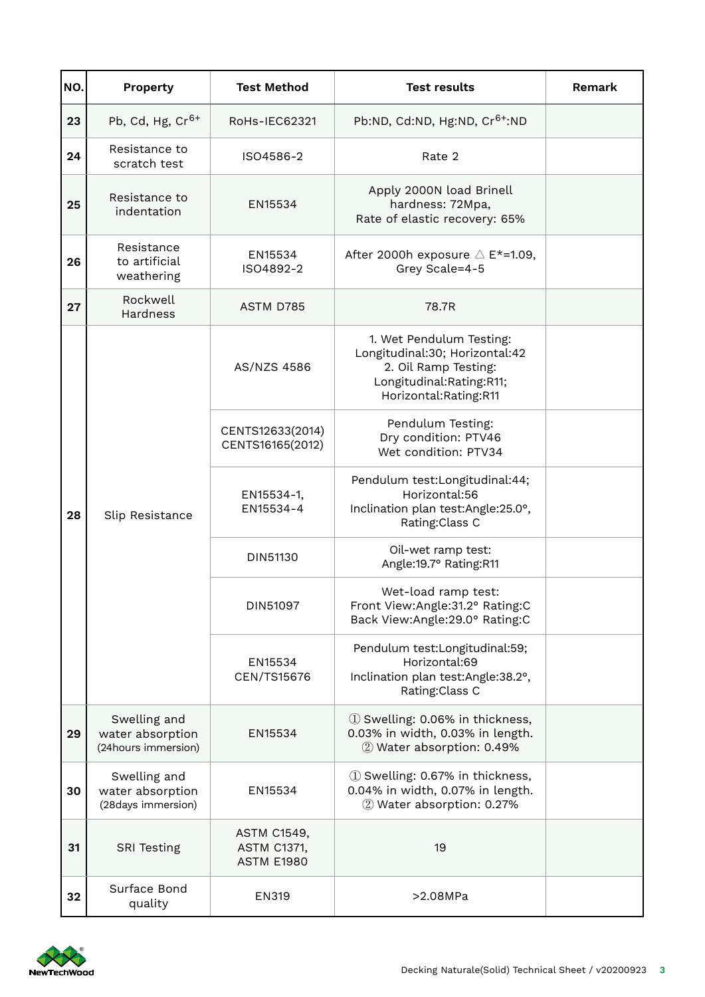| NO. | <b>Property</b>                                         | <b>Test Method</b>                                            | <b>Test results</b>                                                                                                                     | Remark |
|-----|---------------------------------------------------------|---------------------------------------------------------------|-----------------------------------------------------------------------------------------------------------------------------------------|--------|
| 23  | Pb, Cd, Hg, $Cr6+$                                      | RoHs-IEC62321                                                 | Pb:ND, Cd:ND, Hg:ND, Cr <sup>6+</sup> :ND                                                                                               |        |
| 24  | Resistance to<br>scratch test                           | ISO4586-2                                                     | Rate 2                                                                                                                                  |        |
| 25  | Resistance to<br>indentation                            | EN15534                                                       | Apply 2000N load Brinell<br>hardness: 72Mpa,<br>Rate of elastic recovery: 65%                                                           |        |
| 26  | Resistance<br>to artificial<br>weathering               | EN15534<br>ISO4892-2                                          | After 2000h exposure $\triangle$ E*=1.09,<br>Grey Scale=4-5                                                                             |        |
| 27  | Rockwell<br>Hardness                                    | ASTM D785                                                     | 78.7R                                                                                                                                   |        |
| 28  | Slip Resistance                                         | AS/NZS 4586                                                   | 1. Wet Pendulum Testing:<br>Longitudinal:30; Horizontal:42<br>2. Oil Ramp Testing:<br>Longitudinal:Rating:R11;<br>Horizontal:Rating:R11 |        |
|     |                                                         | CENTS12633(2014)<br>CENTS16165(2012)                          | Pendulum Testing:<br>Dry condition: PTV46<br>Wet condition: PTV34                                                                       |        |
|     |                                                         | EN15534-1,<br>EN15534-4                                       | Pendulum test:Longitudinal:44;<br>Horizontal:56<br>Inclination plan test:Angle:25.0°,<br>Rating:Class C                                 |        |
|     |                                                         | DIN51130                                                      | Oil-wet ramp test:<br>Angle:19.7° Rating:R11                                                                                            |        |
|     |                                                         | DIN51097                                                      | Wet-load ramp test:<br>Front View:Angle:31.2° Rating:C<br>Back View:Angle:29.0° Rating:C                                                |        |
|     |                                                         | EN15534<br>CEN/TS15676                                        | Pendulum test:Longitudinal:59;<br>Horizontal:69<br>Inclination plan test:Angle:38.2°,<br>Rating: Class C                                |        |
| 29  | Swelling and<br>water absorption<br>(24hours immersion) | EN15534                                                       | 1 Swelling: 0.06% in thickness,<br>0.03% in width, 0.03% in length.<br>2 Water absorption: 0.49%                                        |        |
| 30  | Swelling and<br>water absorption<br>(28days immersion)  | EN15534                                                       | 1 Swelling: 0.67% in thickness,<br>0.04% in width, 0.07% in length.<br>2 Water absorption: 0.27%                                        |        |
| 31  | <b>SRI Testing</b>                                      | <b>ASTM C1549,</b><br><b>ASTM C1371,</b><br><b>ASTM E1980</b> | 19                                                                                                                                      |        |
| 32  | Surface Bond<br>quality                                 | EN319                                                         | >2.08MPa                                                                                                                                |        |